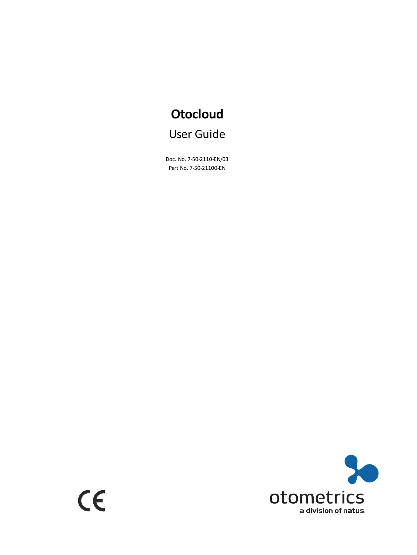# **Otocloud** User Guide

Doc. No. 7-50-2110-EN/03 Part No. 7-50-21100-EN

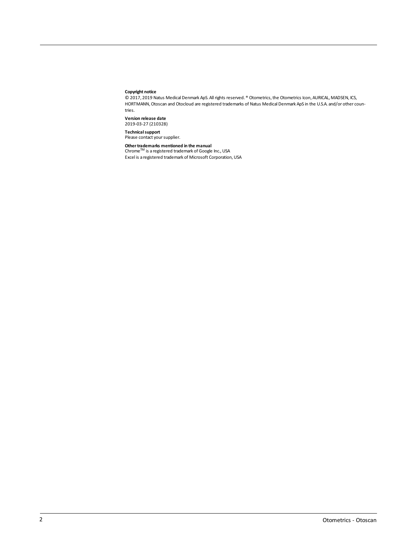#### **Copyright notice**

© 2017, 2019 Natus Medical Denmark ApS. Allrights reserved. ® Otometrics,the Otometrics Icon, AURICAL, MADSEN, ICS, HORTMANN, Otoscan and Otocloud are registered trademarks of Natus Medical Denmark ApS in the U.S.A. and/or other countries.

**Version release date** 2019-03-27 (210328)

**Technical support**<br>Please contact your supplier.

**Other trademarks mentioned in the manual<br>Chrome™ is a registered trademark of Google Inc., USA** 

Excel is a registered trademark of Microsoft Corporation, USA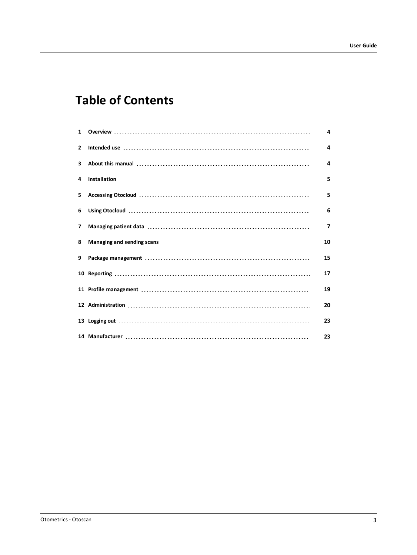# **Table of Contents**

| $\mathbf{1}$ | 4  |
|--------------|----|
| $\mathbf{2}$ | 4  |
| 3            | 4  |
| 4            | 5  |
| 5.           | 5  |
| 6            | 6  |
| 7            | 7  |
| 8            | 10 |
| 9            | 15 |
|              | 17 |
|              | 19 |
|              | 20 |
|              | 23 |
|              | 23 |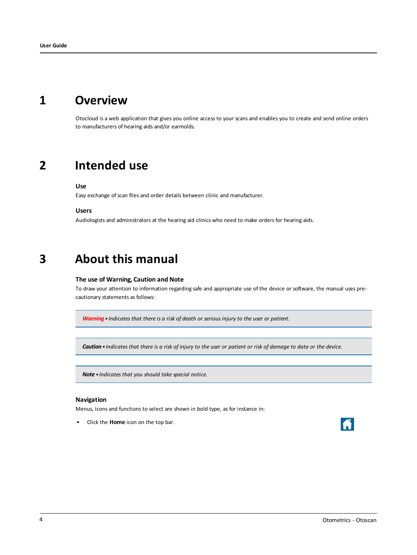# **1 Overview**

<span id="page-3-1"></span><span id="page-3-0"></span>Otocloud is a web application that gives you online access to your scans and enables you to create and send online orders to manufacturers of hearing aids and/or earmolds.

## **2 Intended use**

**Use**

Easy exchange of scan files and order details between clinic and manufacturer.

**Users**

<span id="page-3-2"></span>Audiologists and administrators at the hearing aid clinics who need to make orders for hearing aids.

# **3 About this manual**

#### **The use of Warning, Caution and Note**

To draw your attention to information regarding safe and appropriate use of the device or software, the manual uses precautionary statements as follows:

*Warning• Indicates that there is a risk of death or serious injury to the user or patient.*

Caution . Indicates that there is a risk of injury to the user or patient or risk of damage to data or the device.

*Note • Indicates that you should take special notice.*

#### **Navigation**

Menus, icons and functions to select are shown in bold type, as for instance in:

• Click the **Home** icon on the top bar.

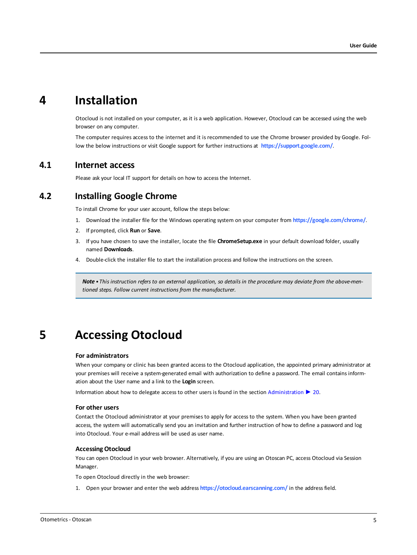## **4 Installation**

<span id="page-4-0"></span>Otocloud is not installed on your computer, as it is a web application. However, Otocloud can be accessed using the web browser on any computer.

The computer requires access to the internet and it is recommended to use the Chrome browser provided by Google. Follow the below instructions or visit Google support for further instructions at **<https://support.google.com/>**.

### **4.1 Internet access**

Please ask your local IT support for details on how to access the Internet.

## **4.2 Installing Google Chrome**

To install Chrome for your user account, follow the steps below:

- 1. Download the installer file for the Windows operating system on your computer from **[https://google.com/chrome/](https://www.google.com/chrome/)**.
- 2. If prompted, click **Run** or **Save**.
- 3. If you have chosen to save the installer, locate the file **ChromeSetup.exe** in your default download folder, usually named **Downloads**.
- 4. Double-click the installer file to start the installation process and follow the instructions on the screen.

<span id="page-4-1"></span>Note • This instruction refers to an external application, so details in the procedure may deviate from the above-men*tioned steps. Follow current instructions from the manufacturer.*

# **5 Accessing Otocloud**

#### **For administrators**

When your company or clinic has been granted access to the Otocloud application, the appointed primary administrator at your premises will receive a system-generated email with authorization to define a password. The email contains information about the User name and a link to the **Login** screen.

Information about how to delegate access to other users is found in the section [Administration](#page-19-0) ► 20.

#### **For other users**

Contact the Otocloud administrator at your premises to apply for access to the system. When you have been granted access, the system will automatically send you an invitation and further instruction of how to define a password and log into Otocloud. Your e-mail address will be used as user name.

#### **Accessing Otocloud**

You can open Otocloud in your web browser. Alternatively, if you are using an Otoscan PC, access Otocloud via Session Manager.

To open Otocloud directly in the web browser:

1. Open your browser and enter the web address **<https://otocloud.earscanning.com/>** in the address field.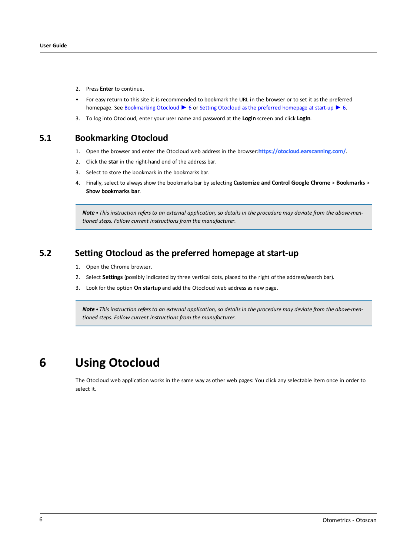- 2. Press **Enter** to continue.
- For easy return to this site it is recommended to bookmark the URL in the browser or to set it as the preferred homepage. See [Bookmarking](#page-5-1) Otocloud ► 6 or Setting Otocloud as the preferred [homepage](#page-5-2) at start-up ► 6.
- <span id="page-5-1"></span>3. To log into Otocloud, enter your user name and password at the **Login** screen and click **Login**.

### **5.1 Bookmarking Otocloud**

- 1. Open the browser and enter the Otocloud web address in the browser:**<https://otocloud.earscanning.com/>**.
- 2. Click the **star** in the right-hand end of the address bar.
- 3. Select to store the bookmark in the bookmarks bar.
- 4. Finally, select to always show the bookmarks bar by selecting **Customize and Control Google Chrome** > **Bookmarks** > **Show bookmarks bar**.

<span id="page-5-2"></span>Note • This instruction refers to an external application, so details in the procedure may deviate from the above-men*tioned steps. Follow current instructions from the manufacturer.*

## **5.2 Setting Otocloud as the preferred homepage at start-up**

- 1. Open the Chrome browser.
- 2. Select **Settings** (possibly indicated by three vertical dots, placed to the right of the address/search bar).
- 3. Look for the option **On startup** and add the Otocloud web address as new page.

<span id="page-5-0"></span>Note • This instruction refers to an external application, so details in the procedure may deviate from the above-men*tioned steps. Follow current instructions from the manufacturer.*

# **6 Using Otocloud**

The Otocloud web application works in the same way as other web pages: You click any selectable item once in order to select it.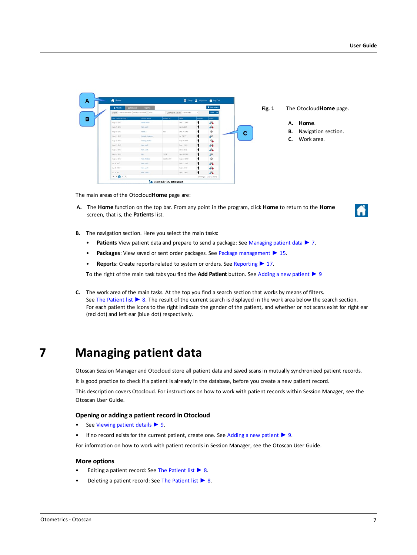| 2 Patients            | <b>E</b> Padagos<br>Reports                         |            |                                     |        | 2 Add Patient           |
|-----------------------|-----------------------------------------------------|------------|-------------------------------------|--------|-------------------------|
|                       | Search: Patient Last Name: Patient First Name   008 |            | Last Patient Activity: Last 30 days | ٠      | <b>Filter O</b>         |
| List Patient Actuay . | <b>Patient Name</b>                                 | Patient ID | DOS:                                | Gender | Sons                    |
| Aug 25 2017           | Valid, Atlant                                       |            | Dec 31 2000                         |        | A                       |
| Aug 25 2017           | Han, Louis                                          |            | Jan 1 2017                          |        | de.                     |
| Aug 24 2017           | Valid, 2                                            | 027        | Dec 50 2000                         |        | ŵ                       |
| Aug 21 2017           | Altrick Augheut                                     |            | Jul 7 1977                          |        | so                      |
| Aug 21 2017           | Testing tester                                      |            | Sep 10 2000                         |        | Ġ.                      |
| Aug 21, 2017          | <b>Han Lock</b>                                     |            | Dec 1 1969                          |        | SG.                     |
| Aug 18 2017           | <b>Han Look</b>                                     |            | Jan 1 1970                          |        | J.                      |
| Aug 18 2017           | Fon.                                                | 1234       | Jan 31 1989                         |        | so                      |
| Aug 18 2017           | <b>Test Anders</b>                                  | 123456789  | Aug 10 2000                         |        | ŵ                       |
| Ad 31,2017            | Han Loch                                            |            | Dec 13 1969                         |        | $\mathcal{L}$           |
| Ad 28.2017            | Han Loc?                                            |            | Feb 2 1970                          |        | A                       |
| Ad 28, 2017           | Han Ltd.S.                                          |            | Dec 1 1969                          | ۱      | $\mathcal{L}_{\bullet}$ |

**Fig. 1** The Otocloud**Home** page.

- **A. Home**.
- **B.** Navigation section.
- **C.** Work area.

The main areas of the Otocloud**Home** page are:

**A.** The **Home** function on the top bar. From any point in the program, click **Home** to return to the **Home** screen, that is, the **Patients** list.



- **B.** The navigation section. Here you select the main tasks:
	- **Patients** View patient data and prepare to send a package: See [Managing](#page-6-0) patient data ► 7.
	- **Packages**: View saved or sent order packages. See Package [management](#page-14-0) ► 15.
	- **Reports**: Create reports related to system or orders. See [Reporting](#page-16-0) ► 17.

To the right of the main task tabs you find the **Add Patient** button. See Adding a new [patient](#page-8-0) ► 9

**C.** The work area of the main tasks. At the top you find a search section that works by means of filters. See The [Patient](#page-7-0) list ► 8. The result of the current search is displayed in the work area below the search section. For each patient the icons to the right indicate the gender of the patient, and whether or not scans exist for right ear (red dot) and left ear (blue dot) respectively.

# **7 Managing patient data**

<span id="page-6-0"></span>Otoscan Session Manager and Otocloud store all patient data and saved scans in mutually synchronized patient records.

It is good practice to check if a patient is already in the database, before you create a new patient record.

This description covers Otocloud. For instructions on how to work with patient records within Session Manager, see the Otoscan User Guide.

#### **Opening or adding a patient record in Otocloud**

- See [Viewing](#page-8-1) patient details ► 9.
- If no record exists for the current [patient](#page-8-0), create one. See Adding a new patient  $\triangleright$  9.

For information on how to work with patient records in Session Manager, see the Otoscan User Guide.

#### **More options**

- Editing a patient record: See The [Patient](#page-7-0) list ► 8.
- Deleting a patient record: See The [Patient](#page-7-0) list ► 8.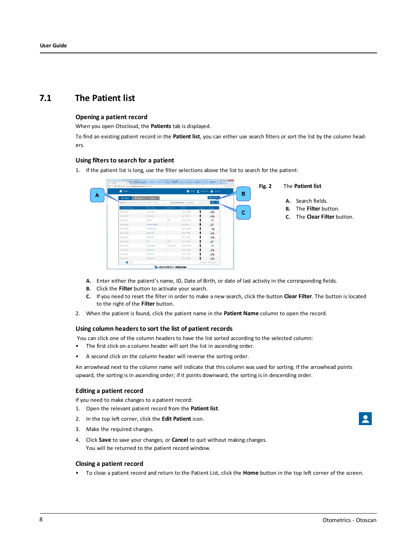## **7.1 The Patient list**

#### <span id="page-7-0"></span>**Opening a patient record**

When you open Otocloud, the **Patients** tab is displayed.

To find an existing patient record in the **Patient list**, you can either use search filters or sort the list by the column headers.

#### **Using filtersto search for a patient**

1. If the patient list is long, use the filter selections above the list to search for the patient:



- 
- **A.** Search fields.
- **B.** The **Filter** button.
- **C.** The **Clear Filter** button.

- **A.** Enter either the patient's name, ID, Date of Birth, or date of last activity in the corresponding fields.
- **B.** Click the **Filter** button to activate your search.
- **C.** If you need to reset the filter in order to make a new search, click the button **Clear Filter**. The button is located to the right of the **Filter** button.
- 2. When the patient is found, click the patient name in the **Patient Name** column to open the record.

#### **Using column headersto sort the list of patient records**

You can click one of the column headers to have the list sorted according to the selected column:

- The first click on a column header will sort the list in ascending order.
- A second click on the column header will reverse the sorting order.

An arrowhead next to the column name will indicate that this column was used for sorting. If the arrowhead points upward, the sorting is in ascending order; if it points downward, the sorting is in descending order.

#### **Editing a patient record**

If you need to make changes to a patient record:

- 1. Open the relevant patient record from the **Patient list**.
- 2. In the top left corner, click the **Edit Patient** icon.
- 3. Make the required changes.
- 4. Click **Save** to save your changes, or **Cancel** to quit without making changes. You will be returned to the patient record window.

#### **Closing a patient record**

• To close a patient record and return to the Patient List, click the **Home** button in the top left corner of the screen.

 $\overline{\mathbf{z}}$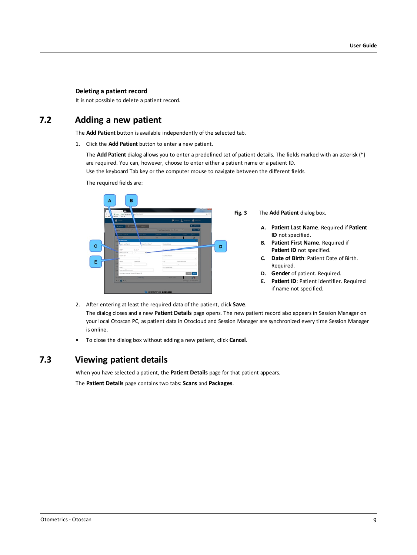#### **Deleting a patient record**

The required fields are:

<span id="page-8-0"></span>It is not possible to delete a patient record.

## **7.2 Adding a new patient**

The **Add Patient** button is available independently of the selected tab.

1. Click the **Add Patient** button to enter a new patient.

The **Add Patient** dialog allows you to enter a predefined set of patient details. The fields marked with an asterisk (\*) are required. You can, however, choose to enter either a patient name or a patient ID.

Use the keyboard Tab key or the computer mouse to navigate between the different fields.

R **Fig. 3** The **Add Patient** dialog box. **A. Patient Last Name**. Required if **Patient ID** not specified. **B. Patient First Name**. Required if  $\mathbf c$ D **Patient ID** not specified. **C. Date of Birth**: Patient Date of Birth. Ė. Required. **D. Gender** of patient. Required. Canal Save **E. Patient ID**: Patient identifier. Required if name not specified.

- 2. After entering at least the required data of the patient, click **Save**. The dialog closes and a new **Patient Details** page opens. The new patient record also appears in Session Manager on your local Otoscan PC, as patient data in Otocloud and Session Manager are synchronized every time Session Manager is online.
- <span id="page-8-1"></span>• To close the dialog box without adding a new patient, click **Cancel**.

## **7.3 Viewing patient details**

When you have selected a patient, the **Patient Details** page for that patient appears.

The **Patient Details** page contains two tabs: **Scans** and **Packages**.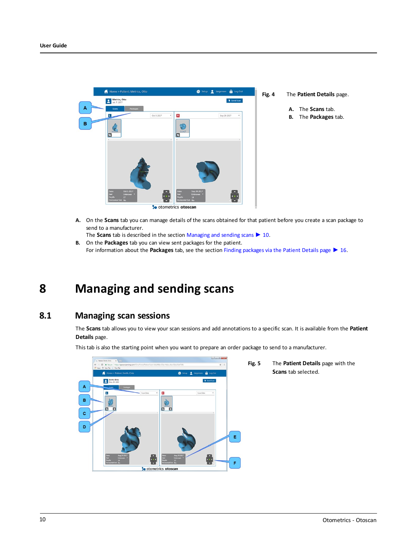

- **A.** On the **Scans** tab you can manage details of the scans obtained for that patient before you create a scan package to send to a manufacturer.
- <span id="page-9-0"></span>The **Scans** tab is described in the section [Managing](#page-9-0) and sending scans ► 10. **B.** On the **Packages** tab you can view sent packages for the patient. For information about the **Packages** tab, see the section Finding [packages](#page-15-0) via the Patient Details page ► 16.

# **8 Managing and sending scans**

## **8.1 Managing scan sessions**

<span id="page-9-1"></span>The **Scans** tab allows you to view your scan sessions and add annotations to a specific scan. It is available from the **Patient Details** page.

This tab is also the starting point when you want to prepare an order package to send to a manufacturer.

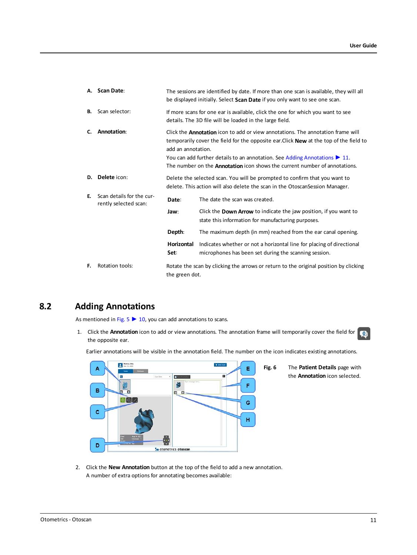| А. | <b>Scan Date:</b>                                  |                    | The sessions are identified by date. If more than one scan is available, they will all<br>be displayed initially. Select Scan Date if you only want to see one scan.                                                                                                                                                                                                           |  |  |  |  |
|----|----------------------------------------------------|--------------------|--------------------------------------------------------------------------------------------------------------------------------------------------------------------------------------------------------------------------------------------------------------------------------------------------------------------------------------------------------------------------------|--|--|--|--|
| В. | Scan selector:                                     |                    | If more scans for one ear is available, click the one for which you want to see<br>details. The 3D file will be loaded in the large field.                                                                                                                                                                                                                                     |  |  |  |  |
| C. | Annotation:                                        | add an annotation. | Click the <b>Annotation</b> icon to add or view annotations. The annotation frame will<br>temporarily cover the field for the opposite ear. Click <b>New</b> at the top of the field to<br>You can add further details to an annotation. See Adding Annotations $\blacktriangleright$ 11.<br>The number on the <b>Annotation</b> icon shows the current number of annotations. |  |  |  |  |
| D. | Delete icon:                                       |                    | Delete the selected scan. You will be prompted to confirm that you want to<br>delete. This action will also delete the scan in the OtoscanSession Manager.                                                                                                                                                                                                                     |  |  |  |  |
| Е. | Scan details for the cur-<br>rently selected scan: | Date:              | The date the scan was created.                                                                                                                                                                                                                                                                                                                                                 |  |  |  |  |
|    |                                                    | Jaw:               | Click the <b>Down Arrow</b> to indicate the jaw position, if you want to<br>state this information for manufacturing purposes.                                                                                                                                                                                                                                                 |  |  |  |  |
|    |                                                    | Depth:             | The maximum depth (in mm) reached from the ear canal opening.                                                                                                                                                                                                                                                                                                                  |  |  |  |  |
|    |                                                    | Horizontal<br>Set: | Indicates whether or not a horizontal line for placing of directional<br>microphones has been set during the scanning session.                                                                                                                                                                                                                                                 |  |  |  |  |
| F. | Rotation tools:                                    | the green dot.     | Rotate the scan by clicking the arrows or return to the original position by clicking                                                                                                                                                                                                                                                                                          |  |  |  |  |

## **8.2 Adding Annotations**

<span id="page-10-0"></span>As mentioned in [Fig.](#page-9-1) 5  $\triangleright$  10, you can add annotations to scans.

1. Click the **Annotation** icon to add or view annotations. The annotation frame will temporarily cover the field for  $\Box$ the opposite ear.

Earlier annotations will be visible in the annotation field. The number on the icon indicates existing annotations.



**Fig. 6** The **Patient Details** page with the **Annotation** icon selected.

2. Click the **New Annotation** button at the top of the field to add a new annotation. A number of extra options for annotating becomes available: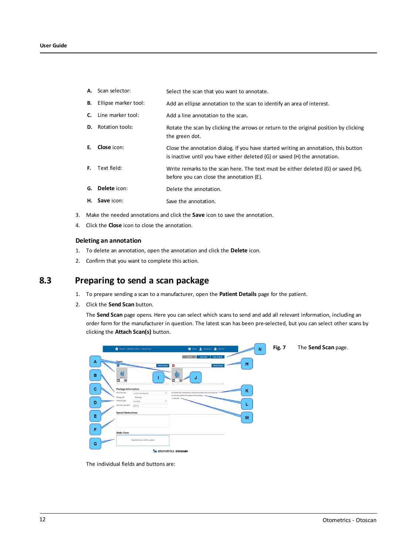- A. Scan selector: Select the scan that you want to annotate.
- **B.** Ellipse marker tool: Add an ellipse annotation to the scan to identify an area of interest.
- **C.** Line marker tool: Add a line annotation to the scan.
- **D.** Rotation tools: Rotate the scan by clicking the arrows or return to the original position by clicking the green dot.
- **E. Close** icon: Close the annotation dialog. If you have started writing an annotation, this button is inactive until you have either deleted (G) or saved (H) the annotation.
- **F.** Text field: Write remarks to the scan here. The text must be either deleted (G) or saved (H), before you can close the annotation (E).
- **G. Delete** icon: **Delete** the annotation.
- **H.** Save icon: Save the annotation.
- 3. Make the needed annotations and click the **Save** icon to save the annotation.
- 4. Click the **Close** icon to close the annotation.

#### **Deleting an annotation**

- 1. To delete an annotation, open the annotation and click the **Delete** icon.
- 2. Confirm that you want to complete this action.

### **8.3 Preparing to send a scan package**

- 1. To prepare sending a scan to a manufacturer, open the **Patient Details** page for the patient.
- 2. Click the **Send Scan** button.

The **Send Scan** page opens. Here you can select which scans to send and add all relevant information, including an order form for the manufacturer in question. The latest scan has been pre-selected, but you can select other scans by clicking the **Attach Scan(s)** button.



The individual fields and buttons are: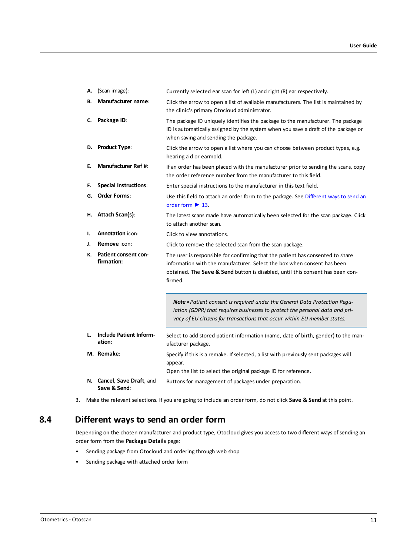| Α. | (Scan image):                             | Currently selected ear scan for left (L) and right (R) ear respectively.                                                                                                                                                                               |
|----|-------------------------------------------|--------------------------------------------------------------------------------------------------------------------------------------------------------------------------------------------------------------------------------------------------------|
| В. | <b>Manufacturer name:</b>                 | Click the arrow to open a list of available manufacturers. The list is maintained by<br>the clinic's primary Otocloud administrator.                                                                                                                   |
| C. | Package ID:                               | The package ID uniquely identifies the package to the manufacturer. The package<br>ID is automatically assigned by the system when you save a draft of the package or<br>when saving and sending the package.                                          |
| D. | <b>Product Type:</b>                      | Click the arrow to open a list where you can choose between product types, e.g.<br>hearing aid or earmold.                                                                                                                                             |
| E. | <b>Manufacturer Ref #:</b>                | If an order has been placed with the manufacturer prior to sending the scans, copy<br>the order reference number from the manufacturer to this field.                                                                                                  |
| F. | <b>Special Instructions:</b>              | Enter special instructions to the manufacturer in this text field.                                                                                                                                                                                     |
| G. | <b>Order Forms:</b>                       | Use this field to attach an order form to the package. See Different ways to send an<br>order form $\blacktriangleright$ 13.                                                                                                                           |
| н. | <b>Attach Scan(s):</b>                    | The latest scans made have automatically been selected for the scan package. Click<br>to attach another scan.                                                                                                                                          |
| ı. | <b>Annotation</b> icon:                   | Click to view annotations.                                                                                                                                                                                                                             |
| J. | <b>Remove</b> icon:                       | Click to remove the selected scan from the scan package.                                                                                                                                                                                               |
| К. | <b>Patient consent con-</b><br>firmation: | The user is responsible for confirming that the patient has consented to share<br>information with the manufacturer. Select the box when consent has been<br>obtained. The Save & Send button is disabled, until this consent has been con-<br>firmed. |
|    |                                           | <b>Note •</b> Patient consent is required under the General Data Protection Requ-<br>lation (GDPR) that requires businesses to protect the personal data and pri-<br>vacy of EU citizens for transactions that occur within EU member states.          |
| L. | <b>Include Patient Inform-</b><br>ation:  | Select to add stored patient information (name, date of birth, gender) to the man-<br>ufacturer package.                                                                                                                                               |
|    | M. Remake:                                | Specify if this is a remake. If selected, a list with previously sent packages will<br>appear.                                                                                                                                                         |
|    |                                           | Open the list to select the original package ID for reference.                                                                                                                                                                                         |
|    | N. Cancel, Save Draft, and                | Buttons for management of packages under preparation.                                                                                                                                                                                                  |

<span id="page-12-0"></span>3. Make the relevant selections. If you are going to include an order form, do not click **Save & Send** at this point.

## **8.4 Different ways to send an order form**

Depending on the chosen manufacturer and product type, Otocloud gives you access to two different ways of sending an order form from the **Package Details** page:

- Sending package from Otocloud and ordering through web shop
- Sending package with attached order form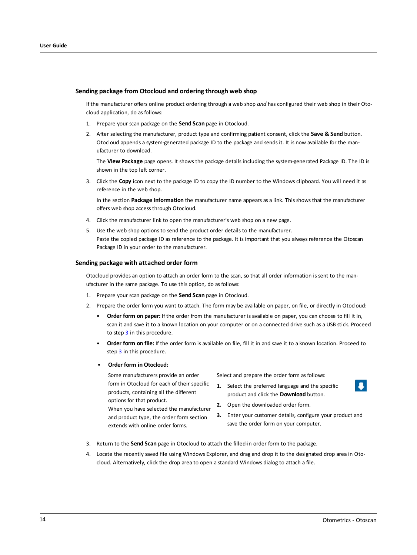#### **Sending package from Otocloud and ordering through web shop**

If the manufacturer offers online product ordering through a web shop *and* has configured their web shop in their Otocloud application, do as follows:

- 1. Prepare your scan package on the **Send Scan** page in Otocloud.
- 2. After selecting the manufacturer, product type and confirming patient consent, click the **Save & Send** button. Otocloud appends a system-generated package ID to the package and sends it. It is now available for the manufacturer to download.

The **View Package** page opens. It shows the package details including the system-generated Package ID. The ID is shown in the top left corner.

3. Click the **Copy** icon next to the package ID to copy the ID number to the Windows clipboard. You will need it as reference in the web shop.

In the section **Package Information** the manufacturer name appears as a link. This shows that the manufacturer offers web shop access through Otocloud.

- 4. Click the manufacturer link to open the manufacturer's web shop on a new page.
- 5. Use the web shop options to send the product order details to the manufacturer. Paste the copied package ID as reference to the package. It is important that you always reference the Otoscan Package ID in your order to the manufacturer.

#### **Sending package with attached order form**

Otocloud provides an option to attach an order form to the scan, so that all order information is sent to the manufacturer in the same package. To use this option, do as follows:

- 1. Prepare your scan package on the **Send Scan** page in Otocloud.
- 2. Prepare the order form you want to attach. The form may be available on paper, on file, or directly in Otocloud:
	- **Order form on paper:** If the order from the manufacturer is available on paper, you can choose to fill it in, scan it and save it to a known location on your computer or on a connected drive such as a USB stick. Proceed to step [3](#page-13-0) in this procedure.
	- **Order form on file:** If the order form is available on file, fill it in and save it to a known location. Proceed to step [3](#page-13-0) in this procedure.
	- **Order form in Otocloud:**

Some manufacturers provide an order form in Otocloud for each of their specific products, containing all the different options for that product.

When you have selected the manufacturer and product type, the order form section extends with online order forms.

Select and prepare the order form as follows:

- **1.** Select the preferred language and the specific product and click the **Download** button.
- **2.** Open the downloaded order form.
- **3.** Enter your customer details, configure your product and save the order form on your computer.
- <span id="page-13-0"></span>3. Return to the **Send Scan** page in Otocloud to attach the filled-in order form to the package.
- 4. Locate the recently saved file using Windows Explorer, and drag and drop it to the designated drop area in Otocloud. Alternatively, click the drop area to open a standard Windows dialog to attach a file.

 $\blacksquare$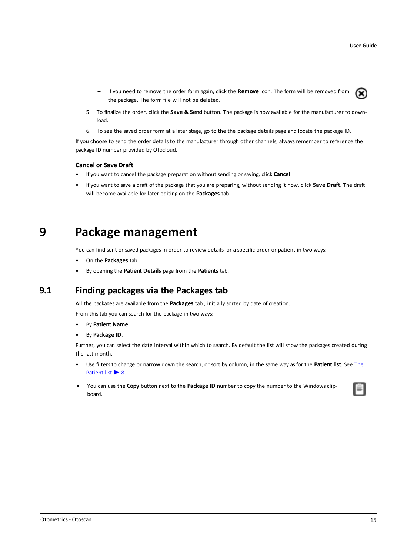- If you need to remove the order form again, click the **Remove** icon. The form will be removed from  $\circledast$ the package. The form file will not be deleted.
- 5. To finalize the order, click the **Save & Send** button. The package is now available for the manufacturer to download.
- 6. To see the saved order form at a later stage, go to the the package details page and locate the package ID.

If you choose to send the order details to the manufacturer through other channels, always remember to reference the package ID number provided by Otocloud.

#### **Cancel or Save Draft**

- If you want to cancel the package preparation without sending or saving, click **Cancel**
- <span id="page-14-0"></span>• If you want to save a draft of the package that you are preparing, without sending it now, click **Save Draft**. The draft will become available for later editing on the **Packages** tab.

# **9 Package management**

You can find sent or saved packages in order to review details for a specific order or patient in two ways:

- On the **Packages** tab.
- By opening the **Patient Details** page from the **Patients** tab.

## **9.1 Finding packages via the Packages tab**

All the packages are available from the **Packages** tab , initially sorted by date of creation.

From this tab you can search for the package in two ways:

- By **Patient Name**.
- By **Package ID**.

Further, you can select the date interval within which to search. By default the list will show the packages created during the last month.

- Use filters to change or narrow down the search, or sort by column, in the same way as for the **Patient list**. See [The](#page-7-0) [Patient](#page-7-0) list ► 8.
- You can use the **Copy** button next to the **Package ID** number to copy the number to the Windows clipboard.

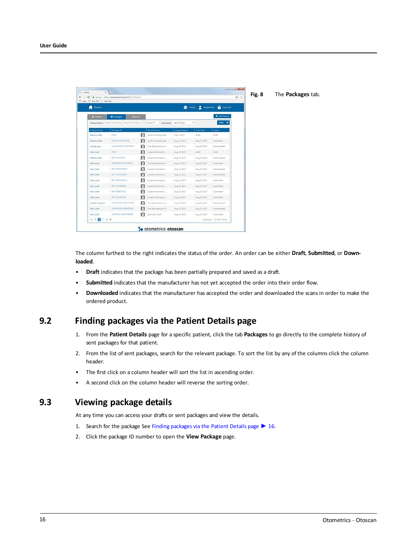| C: New Tab     New Tab |                                                    |                      |                      |                        |             |                             |  |  |
|------------------------|----------------------------------------------------|----------------------|----------------------|------------------------|-------------|-----------------------------|--|--|
| Home                   |                                                    |                      |                      |                        |             | Setup 2 Jargensen @ Log Out |  |  |
| 2. Patients            | <b>E</b> Packages<br>Reports.                      |                      |                      |                        |             | 2 Add Patient               |  |  |
|                        | Patient Name: Patient Last Name Patient First Name | Package ID           |                      | Submitted: Ltd 30 days | ٠           | Filter ©                    |  |  |
| Patient Name           | Package 3D                                         | Manufacturer         |                      | Created Date .         | Sent Date   | Status:                     |  |  |
| Metrics, Otto          | Draft                                              | Θ                    | Jacob's Hearing Aids | Sep 5.2017             | Draft       | Draft.                      |  |  |
| Metrics, Otto          | 12435-1472453166                                   | 日                    | Jacob's Hearing Aids | Aug 31 2017            | Aug 31 2017 | Submitted                   |  |  |
| newga guy              | 123456789-1262858625                               | A                    | Test Manufacturer A  | Aug 29 2017            | Aug 29 2017 | Downloaded                  |  |  |
| Han Lock               | Draft.                                             | 冋                    | Locahan Earmold L.   | Aug 29 2017            | Draft       | Draft:                      |  |  |
| Metrics, Otto          | 007-51437102                                       | 日                    | Locahan Earmold L.   | Aug 25 2017            | Aug 25 2017 | Downloaded                  |  |  |
| Han, Look              | 123456789-474146571                                | 日                    | Test Manufacturer A  | Aug 25 2017            | Aug 25 2017 | Submitted                   |  |  |
| Han, Look              | 007-2083756810                                     | Θ                    | Locatun Earmold L.   | Aug 25 2017            | Aug 25 2017 | Downloaded                  |  |  |
| Han, Loc4              | 007-2110106391                                     | 日                    | Locahan Earmold L.,  | Aug 25 2017            | Aug 25 2017 | Downloaded                  |  |  |
| Han Look               | 007-1972542451                                     | ⊟                    | Locahan Earmold L.,  | Aug 25 2017            | Aug 25 2017 | Submitted                   |  |  |
| Han, Look              | 007-411446282                                      | 日                    | Locahan Earmold L.   | Aug 25 2017            | Aug 25 2017 | Submitted                   |  |  |
| Han, Look              | 007-456853511                                      | ⊟                    | Locahan Earmold L.   | Aug 25 2017            | Aug 25 2017 | Submitted                   |  |  |
| Han Look               | 007-111467372                                      | 日                    | Locahan Earmold L.   | Aug 24 2017            | Aug 24 2017 | Sobmitted                   |  |  |
| Added, AugFour         | 123456789-1496957846                               | Θ                    | Test Maniufacturer A | Aug 21 2017            | Aug 21 2017 | Downloaded                  |  |  |
| Han Look               | 123456789-349995793                                | 冋                    | Test Manufacturer A  | Aug 21 2017            | Aug 21 2017 | Downloaded                  |  |  |
| Han Loc5               | 12987456-2004740699                                | ⊟<br>Sam's Ear Stuff |                      | Aug 21 2017            | Aug 21 2017 | Submitted                   |  |  |

The column furthest to the right indicates the status of the order. An order can be either **Draft**, **Submitted**, or **Downloaded**.

- **Draft** indicates that the package has been partially prepared and saved as a draft.
- **Submitted** indicates that the manufacturer has not yet accepted the order into their order flow.
- <span id="page-15-0"></span>• **Downloaded** indicates that the manufacturer has accepted the order and downloaded the scans in order to make the ordered product.

## **9.2 Finding packages via the Patient Details page**

- 1. From the **Patient Details** page for a specific patient, click the tab **Packages** to go directly to the complete history of sent packages for that patient.
- 2. From the list of sent packages, search for the relevant package. To sort the list by any of the columns click the column header.
- The first click on a column header will sort the list in ascending order.
- A second click on the column header will reverse the sorting order.

## **9.3 Viewing package details**

At any time you can access your drafts or sent packages and view the details.

- 1. Search for the package See Finding [packages](#page-15-0) via the Patient Details page ► 16.
- 2. Click the package ID number to open the **View Package** page.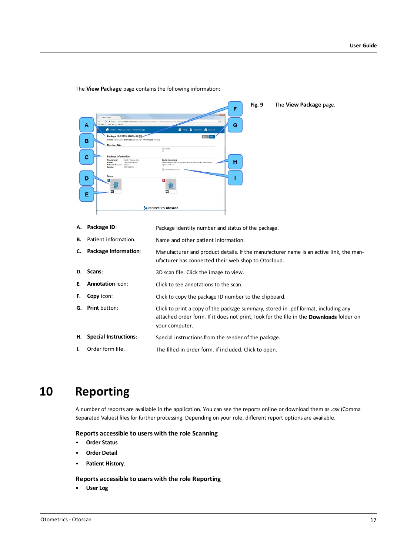**Fig. 9** The **View Package** page. ċ ID: 12435-68804494 ED B c н D E **So** otometrics otoscar

The **View Package** page contains the following information:

**A. Package ID**: Package identity number and status of the package.

**B.** Patient information. Name and other patient information.

- **C. Package Information**: Manufacturer and product details. If the manufacturer name is an active link, the manufacturer has connected their web shop to Otocloud.
- **D. Scans**: 3D scan file. Click the image to view.
- **E. Annotation** icon: Click to see annotations to the scan.
- **F. Copy** icon: Click to copy the package ID number to the clipboard.
- **G. Print** button: Click to print a copy of the package summary, stored in .pdf format, including any attached order form. If it does not print, look for the file in the **Downloads** folder on your computer.
- **H. Special Instructions**: Special instructions from the sender of the package.
- <span id="page-16-0"></span>**I.** Order form file. The filled-in order form, if included. Click to open.

# **10 Reporting**

A number of reports are available in the application. You can see the reports online or download them as .csv (Comma Separated Values) files for further processing. Depending on your role, different report options are available.

#### **Reports accessible to users with the role Scanning**

- **Order Status**
- **Order Detail**
- **Patient History**.

#### **Reports accessible to users with the role Reporting**

• **User Log**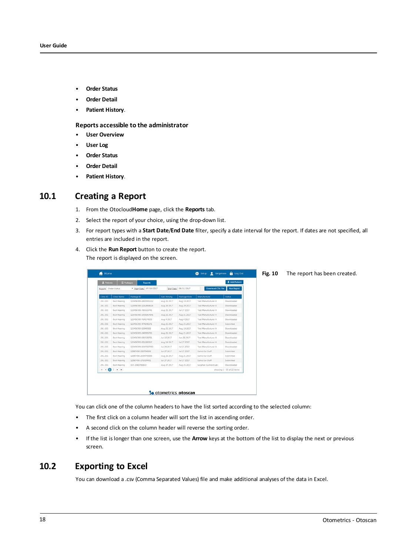- **Order Status**
- **Order Detail**
- **Patient History**.

#### **Reports accessible to the administrator**

- **User Overview**
- **User Log**
- **Order Status**
- **Order Detail**
- <span id="page-17-0"></span>• **Patient History**.

## **10.1 Creating a Report**

- 1. From the Otocloud**Home** page, click the **Reports** tab.
- 2. Select the report of your choice, using the drop-down list.
- 3. For report types with a **Start Date**/**End Date** filter, specify a date interval for the report. If dates are not specified, all entries are included in the report.
- 4. Click the **Run Report** button to create the report. The report is displayed on the screen.

| Home                 |                     |                          |                      |                      | Setup Rigensen a Log Out |                            | Fig. 10 | The report has been created. |
|----------------------|---------------------|--------------------------|----------------------|----------------------|--------------------------|----------------------------|---------|------------------------------|
| 2 Patients           | <b>E</b> Packages   | <b>Reports</b>           |                      |                      |                          | 2 Add Patient              |         |                              |
| Report: Order Status |                     | * Start Date: 07/03/2017 |                      | End Date: 08/31/2017 | <b>Download CSV File</b> | <b>Run Report</b>          |         |                              |
| Clinic ID            | Clinic Name         | Package ID               | <b>Last Activity</b> | <b>Package Date</b>  | Manufacturer             | <b>Status</b>              |         |                              |
| 201-201              | Best Hearing        | 123456789-1820301112     | Aug 21 2017          | Aug 18 2017          | Test Manufacturer A      | Downloaded                 |         |                              |
| 201-201              | <b>Best Hearing</b> | 123456789-1262858625     | Aug 29 2017          | Aug 29 2017          | Test Manufacturer A      | Downloaded                 |         |                              |
| 201-201              | Best Hearing        | 123456789-785515741      | Aug 21 2017          | Jul 27 2017          | Test Manufacturer A      | Downloaded                 |         |                              |
| 201-201              | Best Hearing        | 123456789-1496957846     | Aug 21 2017          | Aug 21 2017          | Test Manufacturer A      | Downloaded                 |         |                              |
| 201-201              | Best Hearing        | 123456789-764174505      | Aug 4 2017           | Aug 4 2017           | Test Manufacturer A      | Downloaded                 |         |                              |
| 201-201              | Best Hearing        | 123456789-474146571      | Aug 25 2017          | Aug 25 2017          | Test Manufacturer A      | Submitted                  |         |                              |
| 201-201              | Best Hearing        | 123456789-92849308       | Aug 21 2017          | Aug 18 2017          | Test Manufacturer A      | Downloaded                 |         |                              |
| 201-201              | <b>Best Hearing</b> | 123456789-349995793      | Aug 21 2017          | Aug 21 2017          | Test Manufacturer A      | Downloaded                 |         |                              |
| 201-201              | <b>Best Hearing</b> | 123456789-682108791      | Jul 18 2017          | Jun 28 2017          | Test Manufacturer A      | Downloaded                 |         |                              |
| 201-201              | <b>Best Hearing</b> | 123456789-951680317      | Aug 14 2017          | Jul 27 2017          | Test Manufacturer A      | Downloaded                 |         |                              |
| 201-201              | Best Hearing        | 123456789-1027307350     | Jul 24 2017          | Jul 21 2017          | Test Manufacturer A      | Downloaded                 |         |                              |
| 201-201              | Best Hearing        | 12987456-230794306       | Jul 27, 2017         | Jul 27 2017          | Sam's Ear Stuff          | Submitted                  |         |                              |
| 201-201              | Best Hearing        | 12987456-2004740699      | Aug 21 2017          | Aug 21 2017          | Sam's Ear Stuff          | Submitted                  |         |                              |
| 201-201              | <b>Best Hearing</b> | 12987456-275024431       | Jul 27 2017          | Jul 27 2017          | Sam's Ear Stuff          | Submitted                  |         |                              |
| 201-201              | Best Hearing        | 007-2083756810           | Aug 27 2017          | Aug 25 2017          | Locahan Earmold Lab      | Downloaded                 |         |                              |
| $+ - 0$              | $2 + M$             |                          |                      |                      |                          | showing 1 - 15 of 22 items |         |                              |

You can click one of the column headers to have the list sorted according to the selected column:

- The first click on a column header will sort the list in ascending order.
- A second click on the column header will reverse the sorting order.
- If the list is longer than one screen, use the **Arrow** keys at the bottom of the list to display the next or previous screen.

## **10.2 Exporting to Excel**

You can download a .csv (Comma Separated Values) file and make additional analyses of the data in Excel.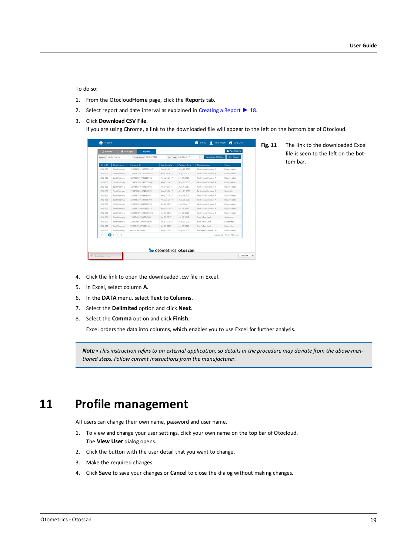#### To do so:

- 1. From the Otocloud**Home** page, click the **Reports** tab.
- 2. Select report and date interval as explained in [Creating](#page-17-0) a Report ▶ 18.

#### 3. Click **Download CSV File**.

If you are using Chrome, a link to the downloaded file will appear to the left on the bottom bar of Otocloud.

|           | Report: Order Status | * Start Date: 07/03/2017 |                      | End Date: 08/31/2017 | Download CSV File          | <b>Run Report</b>          |
|-----------|----------------------|--------------------------|----------------------|----------------------|----------------------------|----------------------------|
| Clinic ID | Clinic Name          | Package ID               | <b>Last Activity</b> | Package Date         | Manufacturer               | <b>Status</b>              |
| 201-201   | Best Hearing         | 123456789-1820301112     | Aug 21 2017          | Aug 18 2017          | <b>Test Manufacturer A</b> | Downloaded                 |
| 201-201   | Best Hearing         | 123456789-1262858625     | Aug 29 2017          | Aug 29 2017          | Test Manufacturer A        | Downloaded                 |
| 201-201   | <b>Best Hearing</b>  | 123456789-785515741      | Aug 21 2017          | Jul 27 2017          | Test Manufacturer A        | Downloaded                 |
| 201-201   | <b>Best Hearing</b>  | 123456789-1496957846     | Aug 21 2017          | Aug 21 2017          | Test Manufacturer A        | Downloaded                 |
| 201-201   | Best Hearing         | 123456789-764174505      | Aug 4 2017           | Aug 4 2017           | Test Manufacturer A        | Downloaded                 |
| 201-201   | Best Hearing         | 123456789-474146571      | Aug 25 2017          | Aug 25 2017          | <b>Test Manufacturer A</b> | Submitted                  |
| 201-201   | <b>Best Hearing</b>  | 123456789-92849308       | Aug 21 2017          | Aug 18 2017          | Test Manufacturer A        | Downloaded                 |
| 201-201   | Best Hearing         | 123456789-349995793      | Aug 21 2017          | Aug 21 2017          | Test Manufacturer A        | Downloaded                 |
| 201-201   | Best Hearing         | 123456789-682108791      | Jul 18 2017          | Jun 28 2017          | Test Manufacturer A        | Downloaded                 |
| 201-201   | <b>Best Hearing</b>  | 123456789-951680317      | Aug 14 2017          | Jul 27 2017          | <b>Test Manufacturer A</b> | Downloaded                 |
| 201-201   | Best Hearing         | 123456789-1027307350     | Jul 24 2017          | Jul 21 2017          | Test Manufacturer A        | Downloaded                 |
| 201-201   | Best Hearing         | 12987456-230794306       | Jul 27 2017          | Jul 27 2017          | Sam's Ear Stuff            | Submitted                  |
| 201-201   | Best Hearing         | 12987456-2004740699      | Aug 21 2017          | Aug 21 2017          | Sam's Ear Stuff            | Submitted                  |
| 201-201   | Best Hearing         | 12987456-275024431       | Jul 27 2017          | Jul 27 2017          | Sam's Ear Stuff            | Submitted                  |
| 201-201   | Best Hearing         | 007-2083756810           | Aug 27 2017          | Aug 25 2017          | Locahan Earmold Lab        | Downloaded                 |
| $+ -$     | $2 + M$              |                          |                      |                      |                            | showing 1 - 15 of 22 items |
|           |                      |                          |                      |                      |                            |                            |
|           |                      |                          |                      |                      |                            |                            |

**Fig. 11** The link to the downloaded Excel file is seen to the left on the bottom bar.

- 4. Click the link to open the downloaded .csv file in Excel.
- 5. In Excel, select column **A**.
- 6. In the **DATA** menu, select **Text to Columns**.
- 7. Select the **Delimited** option and click **Next**.
- 8. Select the **Comma** option and click **Finish**.

Excel orders the data into columns, which enables you to use Excel for further analysis.

<span id="page-18-0"></span>Note • This instruction refers to an external application, so details in the procedure may deviate from the above-men*tioned steps. Follow current instructions from the manufacturer.*

# **11 Profile management**

All users can change their own name, password and user name.

- 1. To view and change your user settings, click your own name on the top bar of Otocloud. The **View User** dialog opens.
- 2. Click the button with the user detail that you want to change.
- 3. Make the required changes.
- 4. Click **Save** to save your changes or **Cancel** to close the dialog without making changes.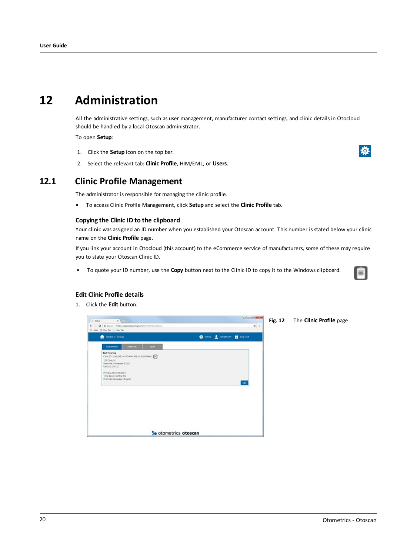# **12 Administration**

<span id="page-19-0"></span>All the administrative settings, such as user management, manufacturer contact settings, and clinic details in Otocloud should be handled by a local Otoscan administrator.

To open **Setup**:

- 1. Click the **Setup** icon on the top bar.
- 2. Select the relevant tab: **Clinic Profile**, HIM/EML, or **Users**.



## **12.1 Clinic Profile Management**

The administrator is responsible for managing the clinic profile.

• To access Clinic Profile Management, click **Setup** and select the **Clinic Profile** tab.

#### **Copying the Clinic ID to the clipboard**

Your clinic was assigned an ID number when you established your Otoscan account. This number is stated below your clinic name on the **Clinic Profile** page.

If you link your account in Otocloud (this account) to the eCommerce service of manufacturers, some of these may require you to state your Otoscan Clinic ID.

• To quote your ID number, use the **Copy** button next to the Clinic ID to copy it to the Windows clipboard.



#### **Edit Clinic Profile details**

1. Click the **Edit** button.

| 1- Setup                                         | $x \vee x$                                                                                                                                                                     |                                                  |                                                             |                              |                             | 000000 |    |
|--------------------------------------------------|--------------------------------------------------------------------------------------------------------------------------------------------------------------------------------|--------------------------------------------------|-------------------------------------------------------------|------------------------------|-----------------------------|--------|----|
| $\leftarrow$<br>÷<br>EE Apps () NewTab 1- NewTab |                                                                                                                                                                                |                                                  | C B Secure   https://qa.earscanning.com/ClinicPortal/Admin/ |                              |                             |        | ŵ. |
| ñ                                                | Home > Setup                                                                                                                                                                   |                                                  |                                                             |                              | Setup 2 Jargensen @ Log Out |        |    |
|                                                  | Cinchrofile                                                                                                                                                                    | <b>HOMENE</b>                                    | <b>Utiers</b>                                               |                              |                             |        |    |
|                                                  | <b>Best Hearing</b><br>123 Clinic St<br>Nashville, Tennessee 37201<br><b>UNITED STATES</b><br>Primary Administrator:<br>Time Zone : Central-US<br>Preferred Language : English | Clinic ID: 1ddd0f91-4370-464-988c-f16d99334ea1 = |                                                             |                              |                             | tat    |    |
|                                                  |                                                                                                                                                                                |                                                  |                                                             | <b>So</b> otometrics otoscan |                             |        |    |

**Fig. 12** The **Clinic Profile** page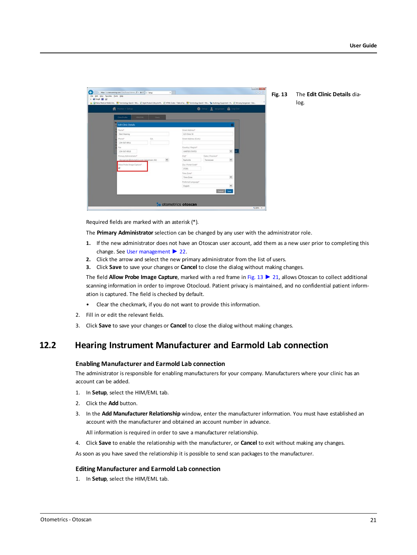<span id="page-20-0"></span>

| N Home > Silvan                                 | ● Ship 鱼 Septem ● StopDut            |  |
|-------------------------------------------------|--------------------------------------|--|
| HIM/EML<br>Daniel Daniel<br>Close/Norther       |                                      |  |
| <b>Lat Cinic Details</b>                        |                                      |  |
| <b>Nora</b> <sup>E</sup>                        | Street A&bins*                       |  |
| East Hearing                                    | 123 Oirie St.                        |  |
| <b>Thing!</b><br>(x)                            | Street Address (Cont.)               |  |
| 254-567-8911                                    |                                      |  |
| that                                            | Country / Region?                    |  |
| 234-567-8918                                    | $\mathbf{v}$<br><b>UNITED STATES</b> |  |
| Primary Administrator*                          | Or/<br>State J Province®             |  |
| ×<br>- Margensen@atometrics.com (targetown, KX) | $\sim$<br>Nashville<br>Tennessee     |  |
| Alton Probe Image Capture*                      | Zip J Fostal Code*                   |  |
|                                                 | 37201                                |  |
|                                                 | Tome Zone*                           |  |
|                                                 | $\sim$<br>Time Zone                  |  |
|                                                 | Preferred Language*                  |  |
|                                                 | $\omega$<br><b>English</b>           |  |
|                                                 | Concel Sem                           |  |

Required fields are marked with an asterisk (\*).

The **Primary Administrator** selection can be changed by any user with the administrator role.

- **1.** If the new administrator does not have an Otoscan user account, add them as a new user prior to completing this change. See User [management](#page-21-0) ► 22.
- **2.** Click the arrow and select the new primary administrator from the list of users.
- **3.** Click **Save** to save your changes or **Cancel** to close the dialog without making changes.

The field **Allow Probe Image Capture**, marked with a red frame in [Fig.](#page-20-0) 13 ► 21, allows Otoscan to collect additional scanning information in order to improve Otocloud. Patient privacy is maintained, and no confidential patient information is captured. The field is checked by default.

- Clear the checkmark, if you do not want to provide this information.
- 2. Fill in or edit the relevant fields.
- 3. Click **Save** to save your changes or **Cancel** to close the dialog without making changes.

## **12.2 Hearing Instrument Manufacturer and Earmold Lab connection**

#### **Enabling Manufacturer and Earmold Lab connection**

The administrator is responsible for enabling manufacturers for your company. Manufacturers where your clinic has an account can be added.

- 1. In **Setup**, select the HIM/EML tab.
- 2. Click the **Add** button.
- 3. In the **Add Manufacturer Relationship** window, enter the manufacturer information. You must have established an account with the manufacturer and obtained an account number in advance.

All information is required in order to save a manufacturer relationship.

4. Click **Save** to enable the relationship with the manufacturer, or **Cancel** to exit without making any changes.

As soon as you have saved the relationship it is possible to send scan packages to the manufacturer.

#### **Editing Manufacturer and Earmold Lab connection**

1. In **Setup**, select the HIM/EML tab.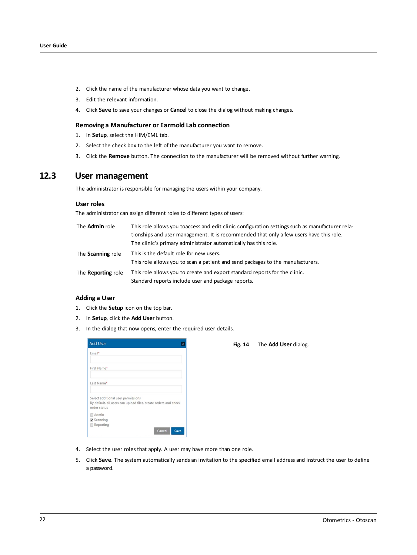- 2. Click the name of the manufacturer whose data you want to change.
- 3. Edit the relevant information.
- 4. Click **Save** to save your changes or **Cancel** to close the dialog without making changes.

#### **Removing a Manufacturer or Earmold Lab connection**

- 1. In **Setup**, select the HIM/EML tab.
- 2. Select the check box to the left of the manufacturer you want to remove.
- <span id="page-21-0"></span>3. Click the **Remove** button. The connection to the manufacturer will be removed without further warning.

### **12.3 User management**

The administrator is responsible for managing the users within your company.

#### **User roles**

The administrator can assign different roles to different types of users:

| The <b>Admin</b> role     | This role allows you toaccess and edit clinic configuration settings such as manufacturer rela-<br>tionships and user management. It is recommended that only a few users have this role.<br>The clinic's primary administrator automatically has this role. |
|---------------------------|--------------------------------------------------------------------------------------------------------------------------------------------------------------------------------------------------------------------------------------------------------------|
| The <b>Scanning</b> role  | This is the default role for new users.<br>This role allows you to scan a patient and send packages to the manufacturers.                                                                                                                                    |
| The <b>Reporting</b> role | This role allows you to create and export standard reports for the clinic.<br>Standard reports include user and package reports.                                                                                                                             |

#### **Adding a User**

- 1. Click the **Setup** icon on the top bar.
- 2. In **Setup**, click the **Add User** button.
- 3. In the dialog that now opens, enter the required user details.

| <b>Add User</b>                |                                                                                                       |      |
|--------------------------------|-------------------------------------------------------------------------------------------------------|------|
| Email*                         |                                                                                                       |      |
| First Name*                    |                                                                                                       |      |
| Last Name*                     |                                                                                                       |      |
| order status                   | Select additional user permissions<br>By default, all users can upload files, create orders and check |      |
| Admin<br>Scanning<br>Reporting | Cancel                                                                                                | Save |

|  | Fig. 14 | The Add User dialog. |
|--|---------|----------------------|
|--|---------|----------------------|

- 4. Select the user roles that apply. A user may have more than one role.
- 5. Click **Save**. The system automatically sends an invitation to the specified email address and instruct the user to define a password.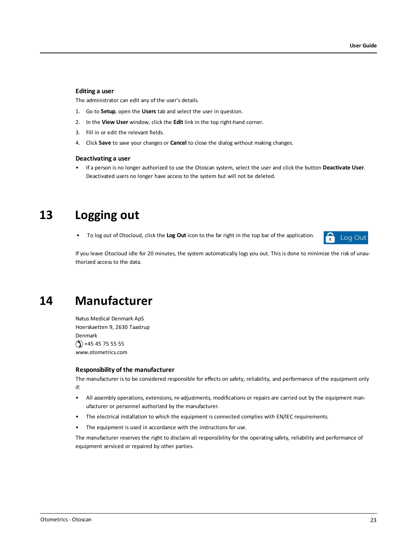#### **Editing a user**

The administrator can edit any of the user's details.

- 1. Go to **Setup**, open the **Users** tab and select the user in question.
- 2. In the **View User** window, click the **Edit** link in the top right-hand corner.
- 3. Fill in or edit the relevant fields.
- 4. Click **Save** to save your changes or **Cancel** to close the dialog without making changes.

#### **Deactivating a user**

<span id="page-22-0"></span>• If a person is no longer authorized to use the Otoscan system, select the user and click the button **Deactivate User**. Deactivated users no longer have access to the system but will not be deleted.

## **13 Logging out**

• To log out of Otocloud, click the **Log Out** icon to the far right in the top bar of the application.



<span id="page-22-1"></span>If you leave Otocloud idle for 20 minutes, the system automatically logs you out. This is done to minimize the risk of unauthorized access to the data.

# **14 Manufacturer**

Natus Medical Denmark ApS Hoerskaetten 9, 2630 Taastrup Denmark  $\mathcal{O}$  +45 45 75 55 55 www.otometrics.com

#### **Responsibility of the manufacturer**

The manufacturer is to be considered responsible for effects on safety, reliability, and performance of the equipment only if:

- All assembly operations, extensions, re-adjustments, modifications or repairs are carried out by the equipment manufacturer or personnel authorized by the manufacturer.
- The electrical installation to which the equipment is connected complies with EN/IEC requirements.
- The equipment is used in accordance with the instructions for use.

The manufacturer reserves the right to disclaim all responsibility for the operating safety, reliability and performance of equipment serviced or repaired by other parties.